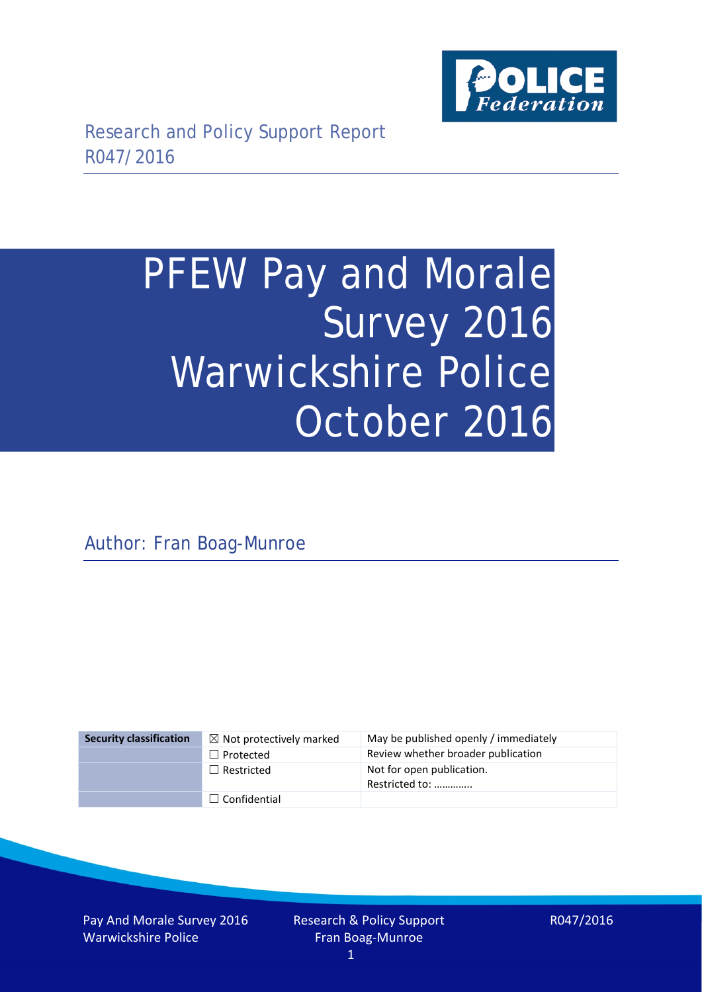

# PFEW Pay and Morale Survey 2016 Warwickshire Police October 2016

Author: Fran Boag-Munroe

| <b>Security classification</b> | $\boxtimes$ Not protectively marked | May be published openly / immediately       |
|--------------------------------|-------------------------------------|---------------------------------------------|
|                                | $\Box$ Protected                    | Review whether broader publication          |
|                                | $\Box$ Restricted                   | Not for open publication.<br>Restricted to: |
|                                | $\Box$ Confidential                 |                                             |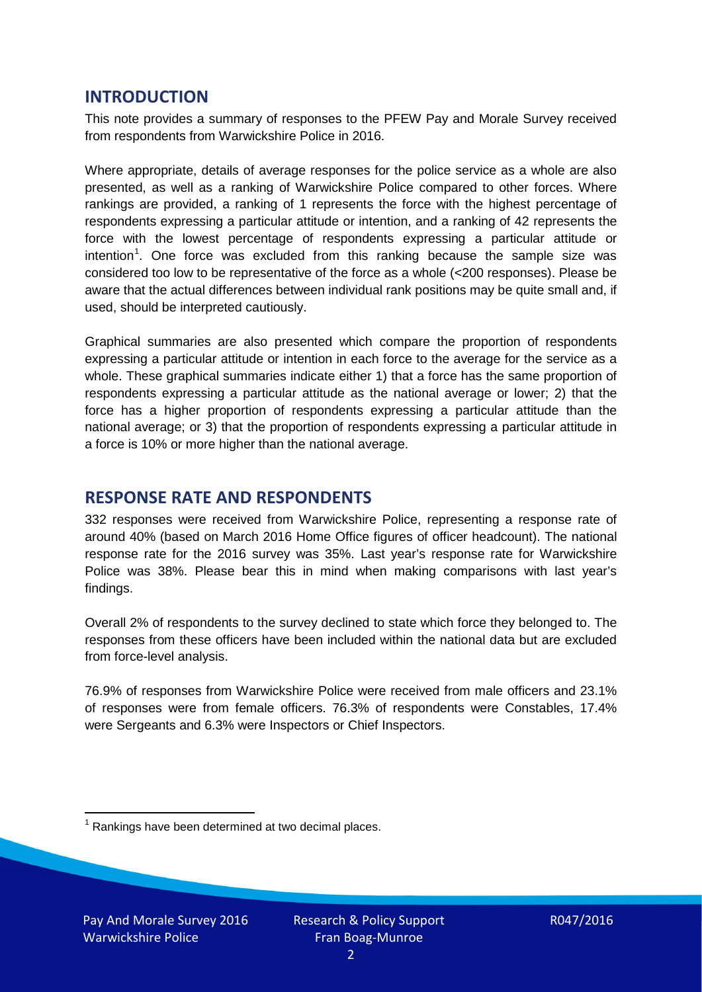### **INTRODUCTION**

This note provides a summary of responses to the PFEW Pay and Morale Survey received from respondents from Warwickshire Police in 2016.

Where appropriate, details of average responses for the police service as a whole are also presented, as well as a ranking of Warwickshire Police compared to other forces. Where rankings are provided, a ranking of 1 represents the force with the highest percentage of respondents expressing a particular attitude or intention, and a ranking of 42 represents the force with the lowest percentage of respondents expressing a particular attitude or intention<sup>[1](#page-1-0)</sup>. One force was excluded from this ranking because the sample size was considered too low to be representative of the force as a whole (<200 responses). Please be aware that the actual differences between individual rank positions may be quite small and, if used, should be interpreted cautiously.

Graphical summaries are also presented which compare the proportion of respondents expressing a particular attitude or intention in each force to the average for the service as a whole. These graphical summaries indicate either 1) that a force has the same proportion of respondents expressing a particular attitude as the national average or lower; 2) that the force has a higher proportion of respondents expressing a particular attitude than the national average; or 3) that the proportion of respondents expressing a particular attitude in a force is 10% or more higher than the national average.

## **RESPONSE RATE AND RESPONDENTS**

332 responses were received from Warwickshire Police, representing a response rate of around 40% (based on March 2016 Home Office figures of officer headcount). The national response rate for the 2016 survey was 35%. Last year's response rate for Warwickshire Police was 38%. Please bear this in mind when making comparisons with last year's findings.

Overall 2% of respondents to the survey declined to state which force they belonged to. The responses from these officers have been included within the national data but are excluded from force-level analysis.

76.9% of responses from Warwickshire Police were received from male officers and 23.1% of responses were from female officers. 76.3% of respondents were Constables, 17.4% were Sergeants and 6.3% were Inspectors or Chief Inspectors.

<span id="page-1-0"></span> $1$  Rankings have been determined at two decimal places.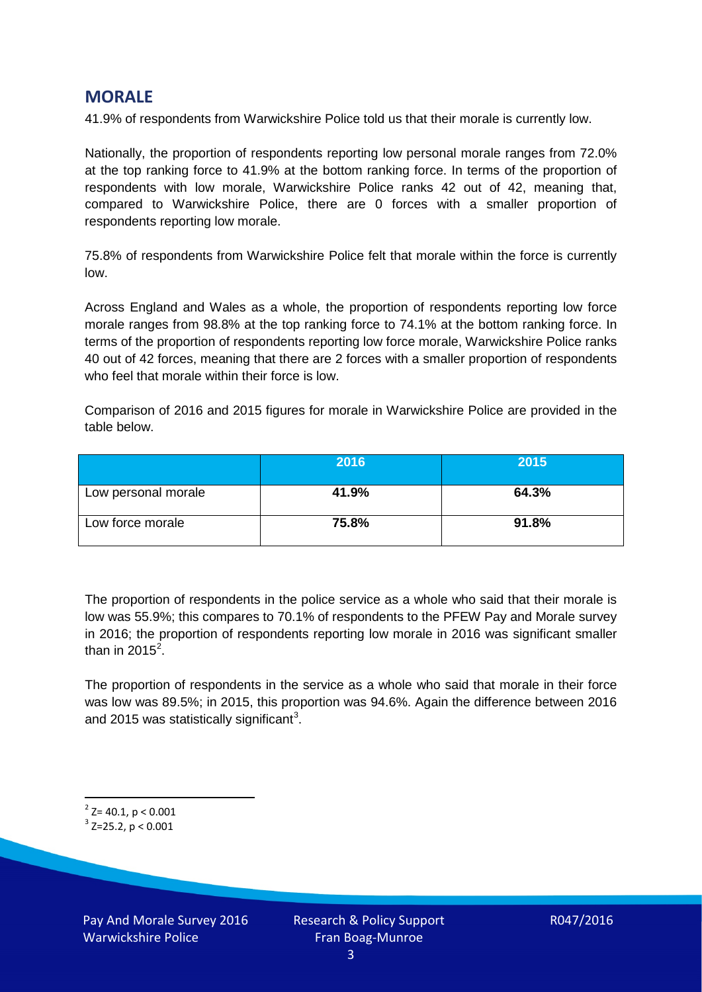## **MORALE**

41.9% of respondents from Warwickshire Police told us that their morale is currently low.

Nationally, the proportion of respondents reporting low personal morale ranges from 72.0% at the top ranking force to 41.9% at the bottom ranking force. In terms of the proportion of respondents with low morale, Warwickshire Police ranks 42 out of 42, meaning that, compared to Warwickshire Police, there are 0 forces with a smaller proportion of respondents reporting low morale.

75.8% of respondents from Warwickshire Police felt that morale within the force is currently low.

Across England and Wales as a whole, the proportion of respondents reporting low force morale ranges from 98.8% at the top ranking force to 74.1% at the bottom ranking force. In terms of the proportion of respondents reporting low force morale, Warwickshire Police ranks 40 out of 42 forces, meaning that there are 2 forces with a smaller proportion of respondents who feel that morale within their force is low.

Comparison of 2016 and 2015 figures for morale in Warwickshire Police are provided in the table below.

|                     | 2016  | 2015  |
|---------------------|-------|-------|
| Low personal morale | 41.9% | 64.3% |
| Low force morale    | 75.8% | 91.8% |

The proportion of respondents in the police service as a whole who said that their morale is low was 55.9%; this compares to 70.1% of respondents to the PFEW Pay and Morale survey in 2016; the proportion of respondents reporting low morale in 2016 was significant smaller than in [2](#page-2-0)015 $^2$ .

The proportion of respondents in the service as a whole who said that morale in their force was low was 89.5%; in 2015, this proportion was 94.6%. Again the difference between 2016 and 2015 was statistically significant<sup>[3](#page-2-1)</sup>.

<span id="page-2-0"></span> $2$ <sup>2</sup> Z= 40.1, p < 0.001

<span id="page-2-1"></span> $3$  Z=25.2, p < 0.001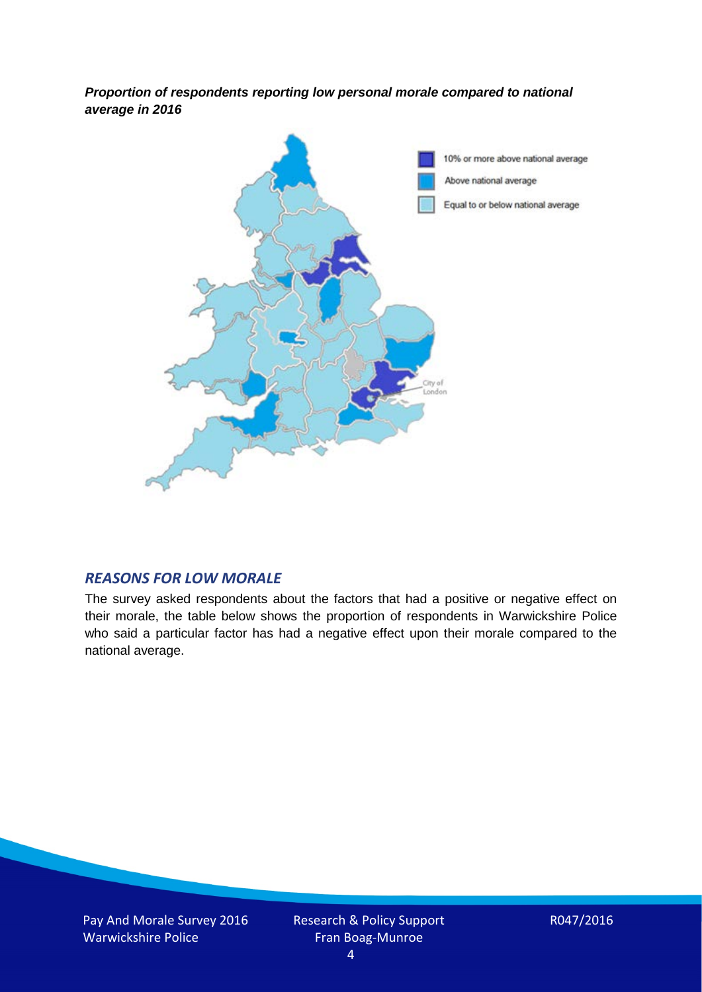*Proportion of respondents reporting low personal morale compared to national average in 2016*



#### *REASONS FOR LOW MORALE*

The survey asked respondents about the factors that had a positive or negative effect on their morale, the table below shows the proportion of respondents in Warwickshire Police who said a particular factor has had a negative effect upon their morale compared to the national average.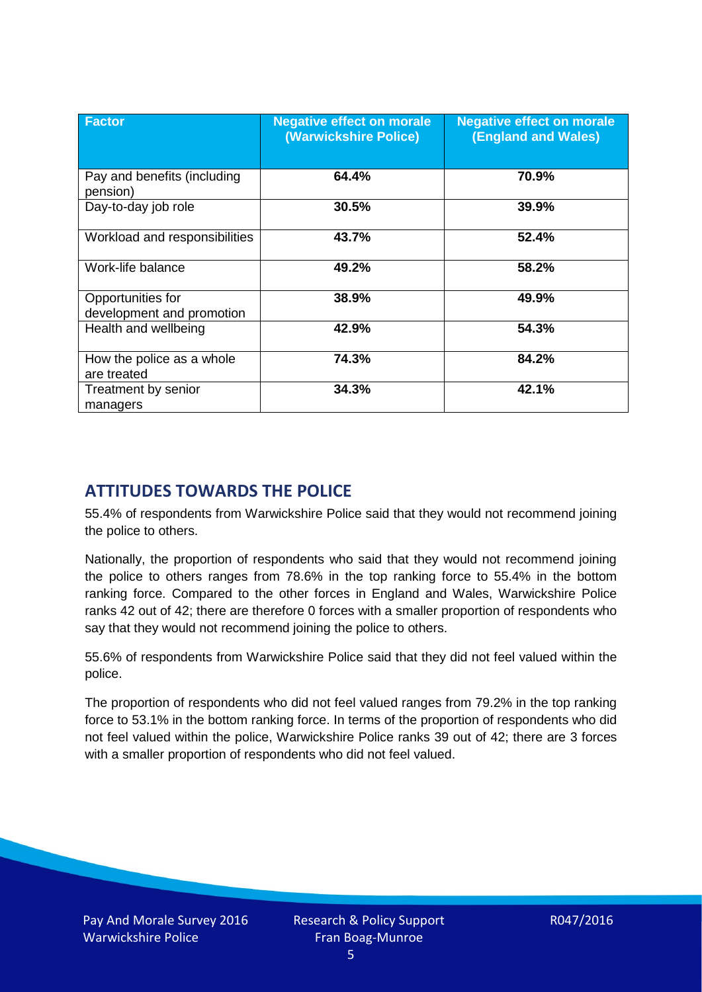| <b>Factor</b>                                  | <b>Negative effect on morale</b><br>(Warwickshire Police) | <b>Negative effect on morale</b><br><b>(England and Wales)</b> |
|------------------------------------------------|-----------------------------------------------------------|----------------------------------------------------------------|
| Pay and benefits (including<br>pension)        | 64.4%                                                     | 70.9%                                                          |
| Day-to-day job role                            | 30.5%                                                     | 39.9%                                                          |
| Workload and responsibilities                  | 43.7%                                                     | 52.4%                                                          |
| Work-life balance                              | 49.2%                                                     | 58.2%                                                          |
| Opportunities for<br>development and promotion | 38.9%                                                     | 49.9%                                                          |
| Health and wellbeing                           | 42.9%                                                     | 54.3%                                                          |
| How the police as a whole<br>are treated       | 74.3%                                                     | 84.2%                                                          |
| Treatment by senior<br>managers                | 34.3%                                                     | 42.1%                                                          |

# **ATTITUDES TOWARDS THE POLICE**

55.4% of respondents from Warwickshire Police said that they would not recommend joining the police to others.

Nationally, the proportion of respondents who said that they would not recommend joining the police to others ranges from 78.6% in the top ranking force to 55.4% in the bottom ranking force. Compared to the other forces in England and Wales, Warwickshire Police ranks 42 out of 42; there are therefore 0 forces with a smaller proportion of respondents who say that they would not recommend joining the police to others.

55.6% of respondents from Warwickshire Police said that they did not feel valued within the police.

The proportion of respondents who did not feel valued ranges from 79.2% in the top ranking force to 53.1% in the bottom ranking force. In terms of the proportion of respondents who did not feel valued within the police, Warwickshire Police ranks 39 out of 42; there are 3 forces with a smaller proportion of respondents who did not feel valued.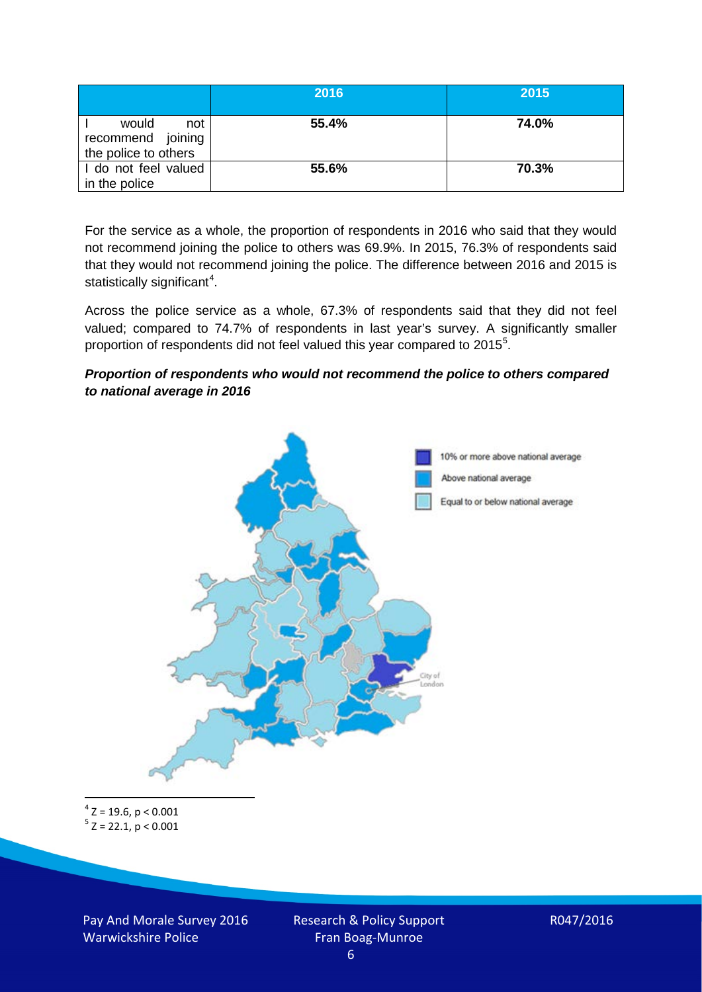|                                                           | 2016  | 2015  |
|-----------------------------------------------------------|-------|-------|
| would<br>not<br>recommend joining<br>the police to others | 55.4% | 74.0% |
| I do not feel valued<br>in the police                     | 55.6% | 70.3% |

For the service as a whole, the proportion of respondents in 2016 who said that they would not recommend joining the police to others was 69.9%. In 2015, 76.3% of respondents said that they would not recommend joining the police. The difference between 2016 and 2015 is statistically significant<sup>[4](#page-5-0)</sup>.

Across the police service as a whole, 67.3% of respondents said that they did not feel valued; compared to 74.7% of respondents in last year's survey. A significantly smaller proportion of respondents did not feel valued this year compared to 201[5](#page-5-1)<sup>5</sup>.

#### *Proportion of respondents who would not recommend the police to others compared to national average in 2016*



<span id="page-5-1"></span><span id="page-5-0"></span> $4$  Z = 19.6, p < 0.001  $5$  Z = 22.1, p < 0.001

Pay And Morale Survey 2016 Warwickshire Police

Research & Policy Support Fran Boag-Munroe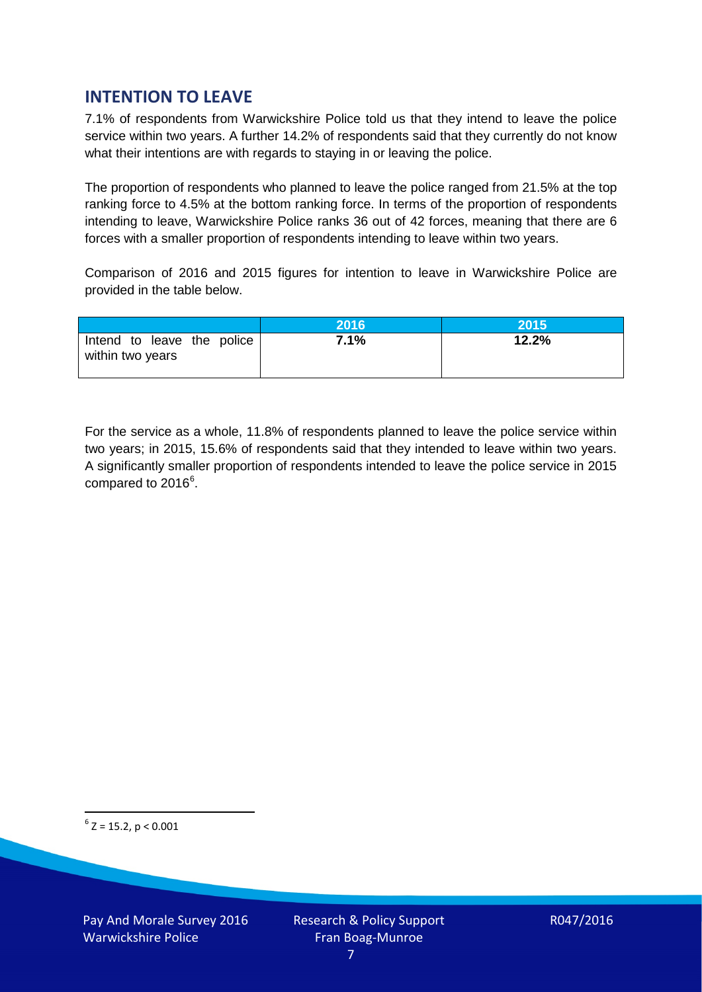## **INTENTION TO LEAVE**

7.1% of respondents from Warwickshire Police told us that they intend to leave the police service within two years. A further 14.2% of respondents said that they currently do not know what their intentions are with regards to staying in or leaving the police.

The proportion of respondents who planned to leave the police ranged from 21.5% at the top ranking force to 4.5% at the bottom ranking force. In terms of the proportion of respondents intending to leave, Warwickshire Police ranks 36 out of 42 forces, meaning that there are 6 forces with a smaller proportion of respondents intending to leave within two years.

Comparison of 2016 and 2015 figures for intention to leave in Warwickshire Police are provided in the table below.

|                                                | 2016 | 2015  |
|------------------------------------------------|------|-------|
| Intend to leave the police<br>within two years | 7.1% | 12.2% |

For the service as a whole, 11.8% of respondents planned to leave the police service within two years; in 2015, 15.6% of respondents said that they intended to leave within two years. A significantly smaller proportion of respondents intended to leave the police service in 2015 compared to 201[6](#page-6-0)<sup>6</sup>.

<span id="page-6-0"></span> $6$  Z = 15.2, p < 0.001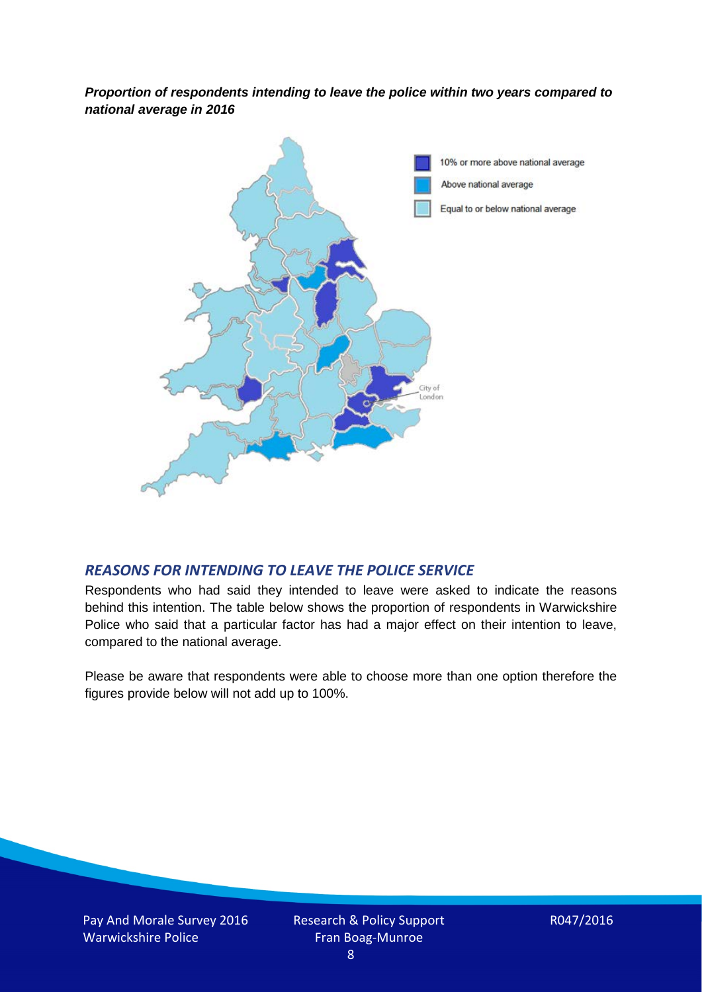*Proportion of respondents intending to leave the police within two years compared to national average in 2016*



#### *REASONS FOR INTENDING TO LEAVE THE POLICE SERVICE*

Respondents who had said they intended to leave were asked to indicate the reasons behind this intention. The table below shows the proportion of respondents in Warwickshire Police who said that a particular factor has had a major effect on their intention to leave, compared to the national average.

Please be aware that respondents were able to choose more than one option therefore the figures provide below will not add up to 100%.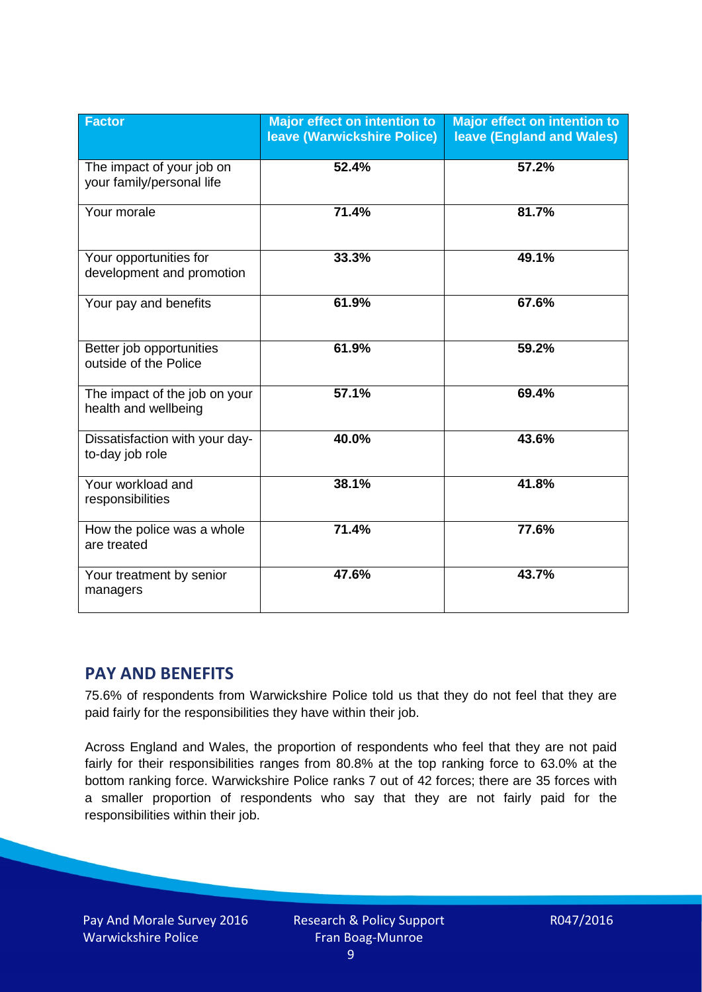| <b>Factor</b>                                          | Major effect on intention to<br><b>leave (Warwickshire Police)</b> | <b>Major effect on intention to</b><br><b>leave (England and Wales)</b> |
|--------------------------------------------------------|--------------------------------------------------------------------|-------------------------------------------------------------------------|
| The impact of your job on<br>your family/personal life | 52.4%                                                              | 57.2%                                                                   |
| Your morale                                            | 71.4%                                                              | 81.7%                                                                   |
| Your opportunities for<br>development and promotion    | 33.3%                                                              | 49.1%                                                                   |
| Your pay and benefits                                  | 61.9%                                                              | 67.6%                                                                   |
| Better job opportunities<br>outside of the Police      | 61.9%                                                              | 59.2%                                                                   |
| The impact of the job on your<br>health and wellbeing  | 57.1%                                                              | 69.4%                                                                   |
| Dissatisfaction with your day-<br>to-day job role      | 40.0%                                                              | 43.6%                                                                   |
| Your workload and<br>responsibilities                  | 38.1%                                                              | 41.8%                                                                   |
| How the police was a whole<br>are treated              | 71.4%                                                              | 77.6%                                                                   |
| Your treatment by senior<br>managers                   | 47.6%                                                              | 43.7%                                                                   |

# **PAY AND BENEFITS**

75.6% of respondents from Warwickshire Police told us that they do not feel that they are paid fairly for the responsibilities they have within their job.

Across England and Wales, the proportion of respondents who feel that they are not paid fairly for their responsibilities ranges from 80.8% at the top ranking force to 63.0% at the bottom ranking force. Warwickshire Police ranks 7 out of 42 forces; there are 35 forces with a smaller proportion of respondents who say that they are not fairly paid for the responsibilities within their job.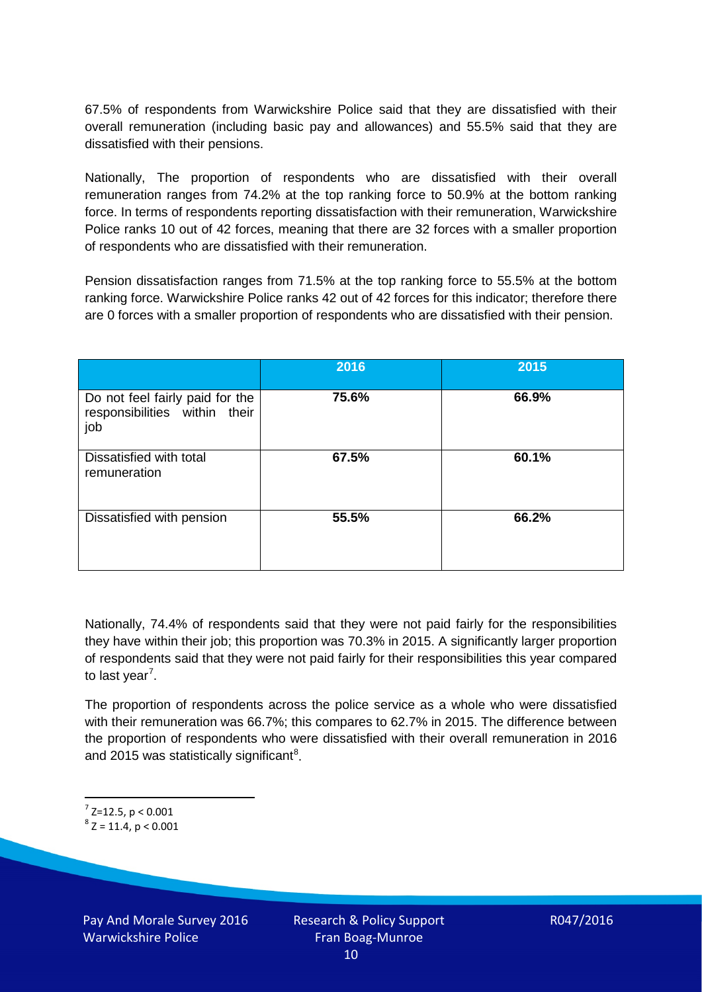67.5% of respondents from Warwickshire Police said that they are dissatisfied with their overall remuneration (including basic pay and allowances) and 55.5% said that they are dissatisfied with their pensions.

Nationally, The proportion of respondents who are dissatisfied with their overall remuneration ranges from 74.2% at the top ranking force to 50.9% at the bottom ranking force. In terms of respondents reporting dissatisfaction with their remuneration, Warwickshire Police ranks 10 out of 42 forces, meaning that there are 32 forces with a smaller proportion of respondents who are dissatisfied with their remuneration.

Pension dissatisfaction ranges from 71.5% at the top ranking force to 55.5% at the bottom ranking force. Warwickshire Police ranks 42 out of 42 forces for this indicator; therefore there are 0 forces with a smaller proportion of respondents who are dissatisfied with their pension.

|                                                                         | 2016  | 2015  |
|-------------------------------------------------------------------------|-------|-------|
| Do not feel fairly paid for the<br>responsibilities within their<br>job | 75.6% | 66.9% |
| Dissatisfied with total<br>remuneration                                 | 67.5% | 60.1% |
| Dissatisfied with pension                                               | 55.5% | 66.2% |

Nationally, 74.4% of respondents said that they were not paid fairly for the responsibilities they have within their job; this proportion was 70.3% in 2015. A significantly larger proportion of respondents said that they were not paid fairly for their responsibilities this year compared to last year<sup>[7](#page-9-0)</sup>.

The proportion of respondents across the police service as a whole who were dissatisfied with their remuneration was 66.7%; this compares to 62.7% in 2015. The difference between the proportion of respondents who were dissatisfied with their overall remuneration in 2016 and 2015 was statistically significant<sup>[8](#page-9-1)</sup>.

<span id="page-9-0"></span> $7$  Z=12.5, p < 0.001

<span id="page-9-1"></span> $8$  Z = 11.4, p < 0.001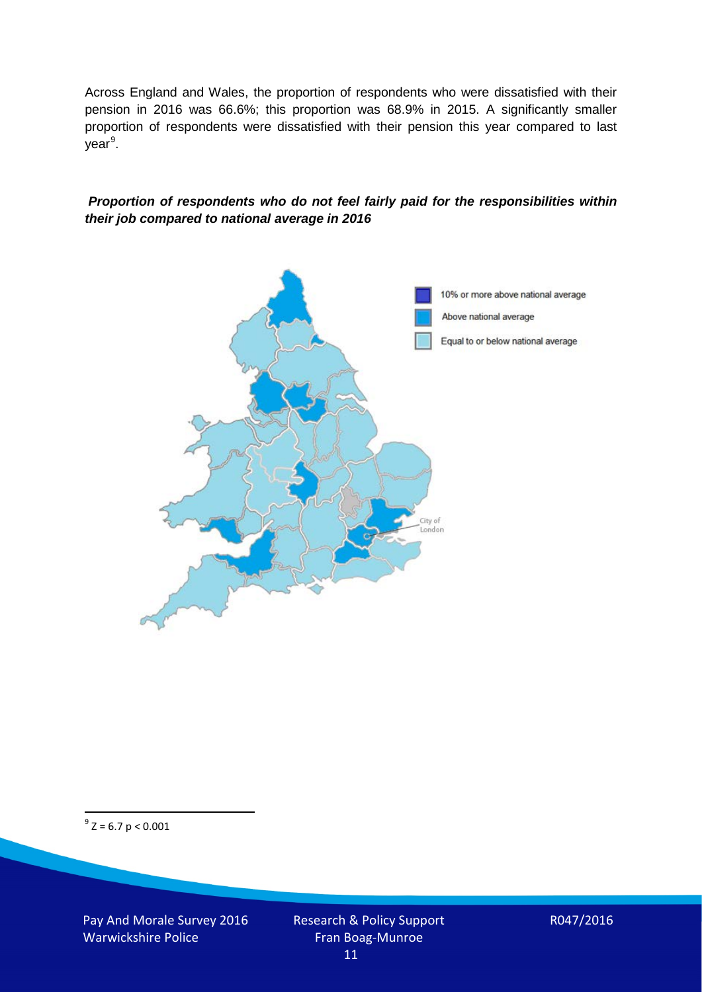Across England and Wales, the proportion of respondents who were dissatisfied with their pension in 2016 was 66.6%; this proportion was 68.9% in 2015. A significantly smaller proportion of respondents were dissatisfied with their pension this year compared to last year<sup>[9](#page-10-0)</sup>.

#### *Proportion of respondents who do not feel fairly paid for the responsibilities within their job compared to national average in 2016*



<span id="page-10-0"></span> $9^9$  Z = 6.7 p < 0.001

Pay And Morale Survey 2016 Warwickshire Police

Research & Policy Support Fran Boag-Munroe 11